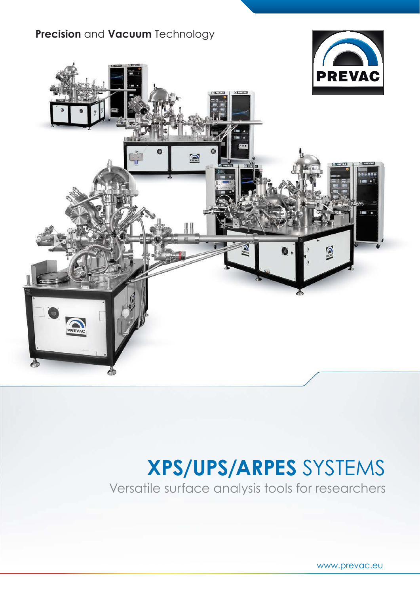## **Прецизионные вакуумные** технологии



# **XPS/UPS/ARPES** СИСТЕМЫ

Универсальные инструменты для анализа поверхности